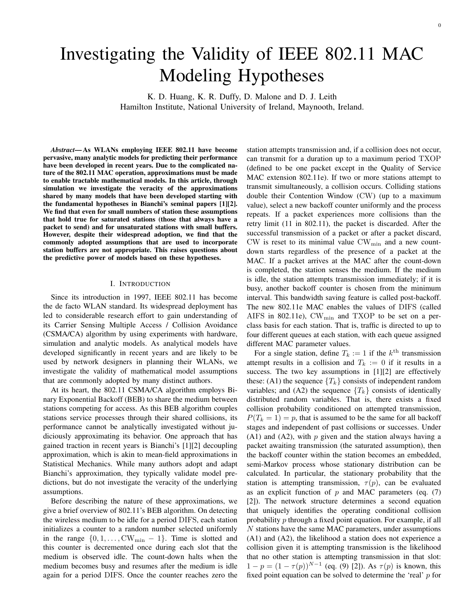# Investigating the Validity of IEEE 802.11 MAC Modeling Hypotheses

K. D. Huang, K. R. Duffy, D. Malone and D. J. Leith Hamilton Institute, National University of Ireland, Maynooth, Ireland.

*Abstract*— As WLANs employing IEEE 802.11 have become pervasive, many analytic models for predicting their performance have been developed in recent years. Due to the complicated nature of the 802.11 MAC operation, approximations must be made to enable tractable mathematical models. In this article, through simulation we investigate the veracity of the approximations shared by many models that have been developed starting with the fundamental hypotheses in Bianchi's seminal papers [1][2]. We find that even for small numbers of station these assumptions that hold true for saturated stations (those that always have a packet to send) and for unsaturated stations with small buffers. However, despite their widespread adoption, we find that the commonly adopted assumptions that are used to incorporate station buffers are not appropriate. This raises questions about the predictive power of models based on these hypotheses.

## I. INTRODUCTION

Since its introduction in 1997, IEEE 802.11 has become the de facto WLAN standard. Its widespread deployment has led to considerable research effort to gain understanding of its Carrier Sensing Multiple Access / Collision Avoidance (CSMA/CA) algorithm by using experiments with hardware, simulation and analytic models. As analytical models have developed significantly in recent years and are likely to be used by network designers in planning their WLANs, we investigate the validity of mathematical model assumptions that are commonly adopted by many distinct authors.

At its heart, the 802.11 CSMA/CA algorithm employs Binary Exponential Backoff (BEB) to share the medium between stations competing for access. As this BEB algorithm couples stations service processes through their shared collisions, its performance cannot be analytically investigated without judiciously approximating its behavior. One approach that has gained traction in recent years is Bianchi's [1][2] decoupling approximation, which is akin to mean-field approximations in Statistical Mechanics. While many authors adopt and adapt Bianchi's approximation, they typically validate model predictions, but do not investigate the veracity of the underlying assumptions.

Before describing the nature of these approximations, we give a brief overview of 802.11's BEB algorithm. On detecting the wireless medium to be idle for a period DIFS, each station initializes a counter to a random number selected uniformly in the range  $\{0, 1, \ldots, CW_{\text{min}} - 1\}$ . Time is slotted and this counter is decremented once during each slot that the medium is observed idle. The count-down halts when the medium becomes busy and resumes after the medium is idle again for a period DIFS. Once the counter reaches zero the station attempts transmission and, if a collision does not occur, can transmit for a duration up to a maximum period TXOP (defined to be one packet except in the Quality of Service MAC extension 802.11e). If two or more stations attempt to transmit simultaneously, a collision occurs. Colliding stations double their Contention Window (CW) (up to a maximum value), select a new backoff counter uniformly and the process repeats. If a packet experiences more collisions than the retry limit (11 in 802.11), the packet is discarded. After the successful transmission of a packet or after a packet discard, CW is reset to its minimal value  $CW_{min}$  and a new countdown starts regardless of the presence of a packet at the MAC. If a packet arrives at the MAC after the count-down is completed, the station senses the medium. If the medium is idle, the station attempts transmission immediately; if it is busy, another backoff counter is chosen from the minimum interval. This bandwidth saving feature is called post-backoff. The new 802.11e MAC enables the values of DIFS (called AIFS in 802.11e),  $CW_{min}$  and TXOP to be set on a perclass basis for each station. That is, traffic is directed to up to four different queues at each station, with each queue assigned different MAC parameter values.

For a single station, define  $T_k := 1$  if the  $k^{\text{th}}$  transmission attempt results in a collision and  $T_k := 0$  if it results in a success. The two key assumptions in [1][2] are effectively these: (A1) the sequence  ${T_k}$  consists of independent random variables; and (A2) the sequence  $\{T_k\}$  consists of identically distributed random variables. That is, there exists a fixed collision probability conditioned on attempted transmission,  $P(T_k = 1) = p$ , that is assumed to be the same for all backoff stages and independent of past collisions or successes. Under  $(A1)$  and  $(A2)$ , with p given and the station always having a packet awaiting transmission (the saturated assumption), then the backoff counter within the station becomes an embedded, semi-Markov process whose stationary distribution can be calculated. In particular, the stationary probability that the station is attempting transmission,  $\tau(p)$ , can be evaluated as an explicit function of  $p$  and MAC parameters (eq. (7) [2]). The network structure determines a second equation that uniquely identifies the operating conditional collision probability  $p$  through a fixed point equation. For example, if all N stations have the same MAC parameters, under assumptions (A1) and (A2), the likelihood a station does not experience a collision given it is attempting transmission is the likelihood that no other station is attempting transmission in that slot:  $1 - p = (1 - \tau(p))^{N-1}$  (eq. (9) [2]). As  $\tau(p)$  is known, this fixed point equation can be solved to determine the 'real' p for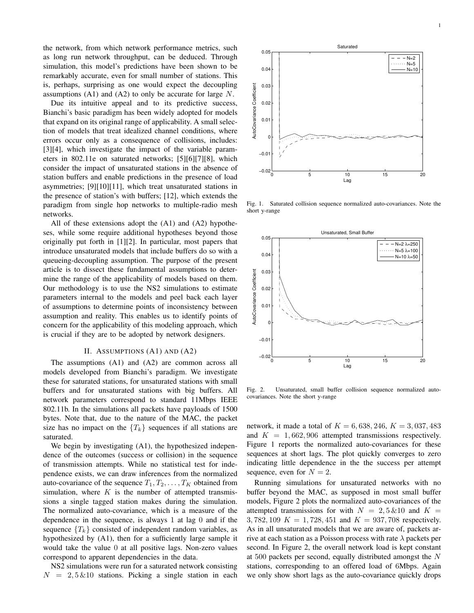the network, from which network performance metrics, such as long run network throughput, can be deduced. Through simulation, this model's predictions have been shown to be remarkably accurate, even for small number of stations. This is, perhaps, surprising as one would expect the decoupling assumptions  $(A1)$  and  $(A2)$  to only be accurate for large N.

Due its intuitive appeal and to its predictive success, Bianchi's basic paradigm has been widely adopted for models that expand on its original range of applicability. A small selection of models that treat idealized channel conditions, where errors occur only as a consequence of collisions, includes: [3][4], which investigate the impact of the variable parameters in 802.11e on saturated networks; [5][6][7][8], which consider the impact of unsaturated stations in the absence of station buffers and enable predictions in the presence of load asymmetries; [9][10][11], which treat unsaturated stations in the presence of station's with buffers; [12], which extends the paradigm from single hop networks to multiple-radio mesh networks.

All of these extensions adopt the (A1) and (A2) hypotheses, while some require additional hypotheses beyond those originally put forth in [1][2]. In particular, most papers that introduce unsaturated models that include buffers do so with a queueing-decoupling assumption. The purpose of the present article is to dissect these fundamental assumptions to determine the range of the applicability of models based on them. Our methodology is to use the NS2 simulations to estimate parameters internal to the models and peel back each layer of assumptions to determine points of inconsistency between assumption and reality. This enables us to identify points of concern for the applicability of this modeling approach, which is crucial if they are to be adopted by network designers.

### II. ASSUMPTIONS (A1) AND (A2)

The assumptions (A1) and (A2) are common across all models developed from Bianchi's paradigm. We investigate these for saturated stations, for unsaturated stations with small buffers and for unsaturated stations with big buffers. All network parameters correspond to standard 11Mbps IEEE 802.11b. In the simulations all packets have payloads of 1500 bytes. Note that, due to the nature of the MAC, the packet size has no impact on the  ${T_k}$  sequences if all stations are saturated.

We begin by investigating (A1), the hypothesized independence of the outcomes (success or collision) in the sequence of transmission attempts. While no statistical test for independence exists, we can draw inferences from the normalized auto-covariance of the sequence  $T_1, T_2, \ldots, T_K$  obtained from simulation, where  $K$  is the number of attempted transmissions a single tagged station makes during the simulation. The normalized auto-covariance, which is a measure of the dependence in the sequence, is always 1 at lag 0 and if the sequence  ${T_k}$  consisted of independent random variables, as hypothesized by (A1), then for a sufficiently large sample it would take the value 0 at all positive lags. Non-zero values correspond to apparent dependencies in the data.

NS2 simulations were run for a saturated network consisting  $N = 2, 5 \& 10$  stations. Picking a single station in each

0 5 10 15 20 −0.02  $-0.0$ Lag

Saturated

0

0.01

0.02

AutoCovariance Coefficient

AutoCovariance Coefficient

0.03

0.04

0.05

Fig. 1. Saturated collision sequence normalized auto-covariances. Note the short y-range



Fig. 2. Unsaturated, small buffer collision sequence normalized autocovariances. Note the short y-range

network, it made a total of  $K = 6,638,246, K = 3,037,483$ and  $K = 1,662,906$  attempted transmissions respectively. Figure 1 reports the normalized auto-covariances for these sequences at short lags. The plot quickly converges to zero indicating little dependence in the the success per attempt sequence, even for  $N = 2$ .

Running simulations for unsaturated networks with no buffer beyond the MAC, as supposed in most small buffer models, Figure 2 plots the normalized auto-covariances of the attempted transmissions for with  $N = 2,5 \& 10$  and  $K =$ 3, 782, 109  $K = 1,728,451$  and  $K = 937,708$  respectively. As in all unsaturated models that we are aware of, packets arrive at each station as a Poisson process with rate  $\lambda$  packets per second. In Figure 2, the overall network load is kept constant at 500 packets per second, equally distributed amongst the N stations, corresponding to an offered load of 6Mbps. Again we only show short lags as the auto-covariance quickly drops

 $-N=2$  $N=5$  $N=10$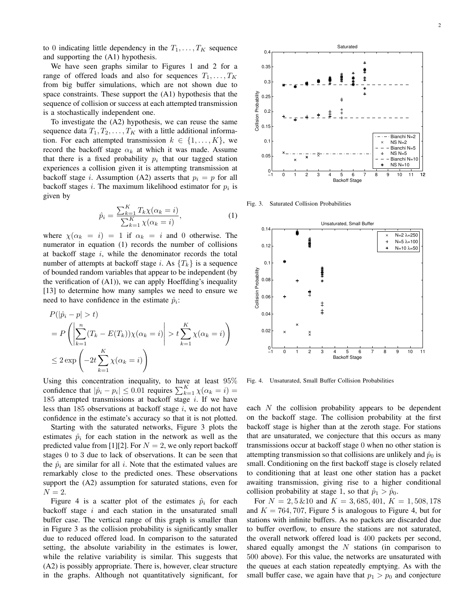We have seen graphs similar to Figures 1 and 2 for a range of offered loads and also for sequences  $T_1, \ldots, T_K$ from big buffer simulations, which are not shown due to space constraints. These support the (A1) hypothesis that the sequence of collision or success at each attempted transmission is a stochastically independent one.

To investigate the (A2) hypothesis, we can reuse the same sequence data  $T_1, T_2, \ldots, T_K$  with a little additional information. For each attempted transmission  $k \in \{1, ..., K\}$ , we record the backoff stage  $\alpha_k$  at which it was made. Assume that there is a fixed probability  $p_i$  that our tagged station experiences a collision given it is attempting transmission at backoff stage *i*. Assumption (A2) asserts that  $p_i = p$  for all backoff stages *i*. The maximum likelihood estimator for  $p_i$  is given by

$$
\hat{p}_i = \frac{\sum_{k=1}^K T_k \chi(\alpha_k = i)}{\sum_{k=1}^K \chi(\alpha_k = i)},\tag{1}
$$

where  $\chi(\alpha_k = i) = 1$  if  $\alpha_k = i$  and 0 otherwise. The numerator in equation (1) records the number of collisions at backoff stage  $i$ , while the denominator records the total number of attempts at backoff stage i. As  $\{T_k\}$  is a sequence of bounded random variables that appear to be independent (by the verification of  $(A1)$ ), we can apply Hoeffding's inequality [13] to determine how many samples we need to ensure we need to have confidence in the estimate  $\hat{p}_i$ :

$$
P(|\hat{p}_i - p| > t)
$$
  
=  $P\left(\left|\sum_{k=1}^n (T_k - E(T_k))\chi(\alpha_k = i)\right| > t \sum_{k=1}^K \chi(\alpha_k = i)\right)$   
 $\leq 2 \exp\left(-2t \sum_{k=1}^K \chi(\alpha_k = i)\right)$ 

Using this concentration inequality, to have at least 95% confidence that  $|\hat{p}_i - p_i| \le 0.01$  requires  $\sum_{k=1}^{K} \chi(\alpha_k = i)$ 185 attempted transmissions at backoff stage  $i$ . If we have less than 185 observations at backoff stage  $i$ , we do not have confidence in the estimate's accuracy so that it is not plotted.

Starting with the saturated networks, Figure 3 plots the estimates  $\hat{p}_i$  for each station in the network as well as the predicted value from [1][2]. For  $N = 2$ , we only report backoff stages 0 to 3 due to lack of observations. It can be seen that the  $\hat{p}_i$  are similar for all i. Note that the estimated values are remarkably close to the predicted ones. These observations support the (A2) assumption for saturated stations, even for  $N=2$ .

Figure 4 is a scatter plot of the estimates  $\hat{p}_i$  for each backoff stage  $i$  and each station in the unsaturated small buffer case. The vertical range of this graph is smaller than in Figure 3 as the collision probability is significantly smaller due to reduced offered load. In comparison to the saturated setting, the absolute variability in the estimates is lower, while the relative variability is similar. This suggests that (A2) is possibly appropriate. There is, however, clear structure in the graphs. Although not quantitatively significant, for



Fig. 3. Saturated Collision Probabilities



Fig. 4. Unsaturated, Small Buffer Collision Probabilities

each  $N$  the collision probability appears to be dependent on the backoff stage. The collision probability at the first backoff stage is higher than at the zeroth stage. For stations that are unsaturated, we conjecture that this occurs as many transmissions occur at backoff stage 0 when no other station is attempting transmission so that collisions are unlikely and  $\hat{p}_0$  is small. Conditioning on the first backoff stage is closely related to conditioning that at least one other station has a packet awaiting transmission, giving rise to a higher conditional collision probability at stage 1, so that  $\hat{p}_1 > \hat{p}_0$ .

For  $N = 2, 5 \& 10$  and  $K = 3, 685, 401, K = 1, 508, 178$ and  $K = 764, 707$ , Figure 5 is analogous to Figure 4, but for stations with infinite buffers. As no packets are discarded due to buffer overflow, to ensure the stations are not saturated, the overall network offered load is 400 packets per second, shared equally amongst the  $N$  stations (in comparison to 500 above). For this value, the networks are unsaturated with the queues at each station repeatedly emptying. As with the small buffer case, we again have that  $p_1 > p_0$  and conjecture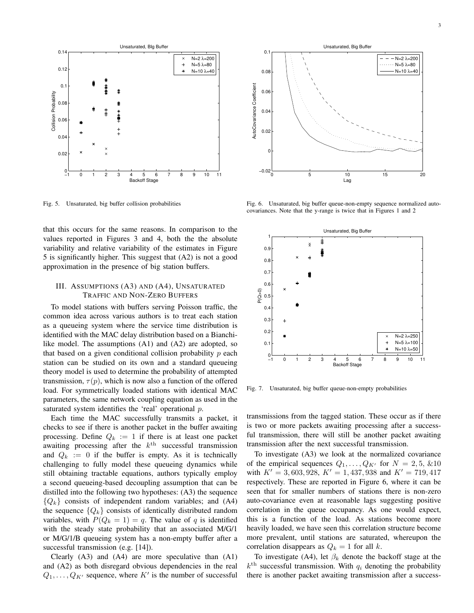

Fig. 5. Unsaturated, big buffer collision probabilities

that this occurs for the same reasons. In comparison to the values reported in Figures 3 and 4, both the the absolute variability and relative variability of the estimates in Figure 5 is significantly higher. This suggest that (A2) is not a good approximation in the presence of big station buffers.

# III. ASSUMPTIONS (A3) AND (A4), UNSATURATED TRAFFIC AND NON-ZERO BUFFERS

To model stations with buffers serving Poisson traffic, the common idea across various authors is to treat each station as a queueing system where the service time distribution is identified with the MAC delay distribution based on a Bianchilike model. The assumptions (A1) and (A2) are adopted, so that based on a given conditional collision probability  $p$  each station can be studied on its own and a standard queueing theory model is used to determine the probability of attempted transmission,  $\tau(p)$ , which is now also a function of the offered load. For symmetrically loaded stations with identical MAC parameters, the same network coupling equation as used in the saturated system identifies the 'real' operational p.

Each time the MAC successfully transmits a packet, it checks to see if there is another packet in the buffer awaiting processing. Define  $Q_k := 1$  if there is at least one packet awaiting processing after the  $k<sup>th</sup>$  successful transmission and  $Q_k := 0$  if the buffer is empty. As it is technically challenging to fully model these queueing dynamics while still obtaining tractable equations, authors typically employ a second queueing-based decoupling assumption that can be distilled into the following two hypotheses: (A3) the sequence  ${Q_k}$  consists of independent random variables; and (A4) the sequence  $\{Q_k\}$  consists of identically distributed random variables, with  $P(Q_k = 1) = q$ . The value of q is identified with the steady state probability that an associated M/G/1 or M/G/1/B queueing system has a non-empty buffer after a successful transmission (e.g. [14]).

Clearly (A3) and (A4) are more speculative than (A1) and (A2) as both disregard obvious dependencies in the real  $Q_1, \ldots, Q_{K'}$  sequence, where K' is the number of successful



Fig. 6. Unsaturated, big buffer queue-non-empty sequence normalized autocovariances. Note that the y-range is twice that in Figures 1 and 2



Fig. 7. Unsaturated, big buffer queue-non-empty probabilities

transmissions from the tagged station. These occur as if there is two or more packets awaiting processing after a successful transmission, there will still be another packet awaiting transmission after the next successful transmission.

To investigate (A3) we look at the normalized covariance of the empirical sequences  $Q_1, \ldots, Q_{K'}$  for  $N = 2, 5, \&10$ with  $K' = 3,603,928, K' = 1,437,938$  and  $K' = 719,417$ respectively. These are reported in Figure 6, where it can be seen that for smaller numbers of stations there is non-zero auto-covariance even at reasonable lags suggesting positive correlation in the queue occupancy. As one would expect, this is a function of the load. As stations become more heavily loaded, we have seen this correlation structure become more prevalent, until stations are saturated, whereupon the correlation disappears as  $Q_k = 1$  for all k.

To investigate (A4), let  $\beta_k$  denote the backoff stage at the  $k<sup>th</sup>$  successful transmission. With  $q<sub>i</sub>$  denoting the probability there is another packet awaiting transmission after a success-